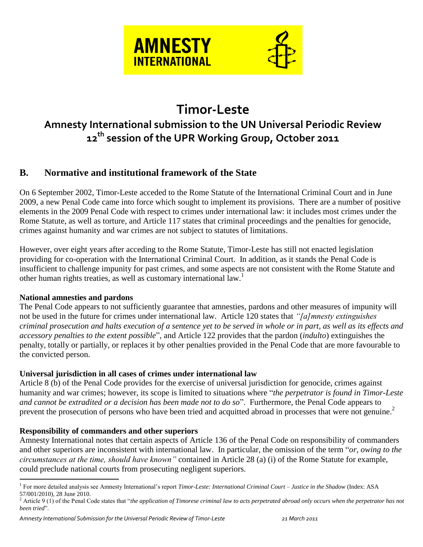

# **Timor-Leste**

## **Amnesty International submission to the UN Universal Periodic Review 12th session of the UPR Working Group, October 2011**

## **B. Normative and institutional framework of the State**

On 6 September 2002, Timor-Leste acceded to the Rome Statute of the International Criminal Court and in June 2009, a new Penal Code came into force which sought to implement its provisions. There are a number of positive elements in the 2009 Penal Code with respect to crimes under international law: it includes most crimes under the Rome Statute, as well as torture, and Article 117 states that criminal proceedings and the penalties for genocide, crimes against humanity and war crimes are not subject to statutes of limitations.

However, over eight years after acceding to the Rome Statute, Timor-Leste has still not enacted legislation providing for co-operation with the International Criminal Court. In addition, as it stands the Penal Code is insufficient to challenge impunity for past crimes, and some aspects are not consistent with the Rome Statute and other human rights treaties, as well as customary international law.<sup>1</sup>

#### **National amnesties and pardons**

The Penal Code appears to not sufficiently guarantee that amnesties, pardons and other measures of impunity will not be used in the future for crimes under international law. Article 120 states that *"[a]mnesty extinguishes criminal prosecution and halts execution of a sentence yet to be served in whole or in part, as well as its effects and accessory penalties to the extent possible*", and Article 122 provides that the pardon (*indulto*) extinguishes the penalty, totally or partially, or replaces it by other penalties provided in the Penal Code that are more favourable to the convicted person.

#### **Universal jurisdiction in all cases of crimes under international law**

Article 8 (b) of the Penal Code provides for the exercise of universal jurisdiction for genocide, crimes against humanity and war crimes; however, its scope is limited to situations where "*the perpetrator is found in Timor-Leste and cannot be extradited or a decision has been made not to do so*". Furthermore, the Penal Code appears to prevent the prosecution of persons who have been tried and acquitted abroad in processes that were not genuine.<sup>2</sup>

#### **Responsibility of commanders and other superiors**

Amnesty International notes that certain aspects of Article 136 of the Penal Code on responsibility of commanders and other superiors are inconsistent with international law. In particular, the omission of the term "*or, owing to the circumstances at the time, should have known"* contained in Article 28 (a) (i) of the Rome Statute for example, could preclude national courts from prosecuting negligent superiors.

 1 For more detailed analysis see Amnesty International's report *Timor-Leste: International Criminal Court – Justice in the Shadow* (Index: ASA 57/001/2010), 28 June 2010.

 $2 \text{ Article 9 (1)}$  of the Penal Code states that "*the application of Timorese criminal law to acts perpetrated abroad only occurs when the perpetrator has not been tried*".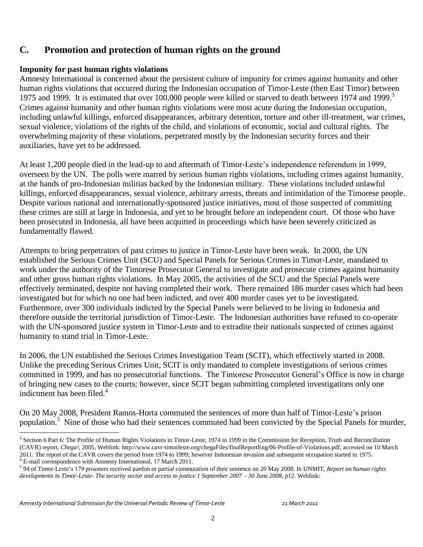## **C. Promotion and protection of human rights on the ground**

#### **Impunity for past human rights violations**

Amnesty International is concerned about the persistent culture of impunity for crimes against humanity and other human rights violations that occurred during the Indonesian occupation of Timor-Leste (then East Timor) between 1975 and 1999. It is estimated that over 100,000 people were killed or starved to death between 1974 and 1999.<sup>3</sup> Crimes against humanity and other human rights violations were most acute during the Indonesian occupation, including unlawful killings, enforced disappearances, arbitrary detention, torture and other ill-treatment, war crimes, sexual violence, violations of the rights of the child, and violations of economic, social and cultural rights. The overwhelming majority of these violations, perpetrated mostly by the Indonesian security forces and their auxiliaries, have yet to be addressed.

At least 1,200 people died in the lead-up to and aftermath of Timor-Leste's independence referendum in 1999, overseen by the UN. The polls were marred by serious human rights violations, including crimes against humanity, at the hands of pro-Indonesian militias backed by the Indonesian military. These violations included unlawful killings, enforced disappearances, sexual violence, arbitrary arrests, threats and intimidation of the Timorese people. Despite various national and internationally-sponsored justice initiatives, most of those suspected of committing these crimes are still at large in Indonesia, and yet to be brought before an independent court. Of those who have been prosecuted in Indonesia, all have been acquitted in proceedings which have been severely criticized as fundamentally flawed.

Attempts to bring perpetrators of past crimes to justice in Timor-Leste have been weak. In 2000, the UN established the Serious Crimes Unit (SCU) and Special Panels for Serious Crimes in Timor-Leste, mandated to work under the authority of the Timorese Prosecutor General to investigate and prosecute crimes against humanity and other gross human rights violations. In May 2005, the activities of the SCU and the Special Panels were effectively terminated, despite not having completed their work. There remained 186 murder cases which had been investigated but for which no one had been indicted, and over 400 murder cases yet to be investigated. Furthermore, over 300 individuals indicted by the Special Panels were believed to be living in Indonesia and therefore outside the territorial jurisdiction of Timor-Leste. The Indonesian authorities have refused to co-operate with the UN-sponsored justice system in Timor-Leste and to extradite their nationals suspected of crimes against humanity to stand trial in Timor-Leste.

In 2006, the UN established the Serious Crimes Investigation Team (SCIT), which effectively started in 2008. Unlike the preceding Serious Crimes Unit, SCIT is only mandated to complete investigations of serious crimes committed in 1999, and has no prosecutorial functions. The Timorese Prosecutor General's Office is now in charge of bringing new cases to the courts; however, since SCIT began submitting completed investigations only one indictment has been filed. $4$ 

On 20 May 2008, President Ramos-Horta commuted the sentences of more than half of Timor-Leste's prison population.<sup>5</sup> Nine of those who had their sentences commuted had been convicted by the Special Panels for murder,

 $\overline{a}$ 

<sup>&</sup>lt;sup>3</sup> Section 6 Part 6: The Profile of Human Rights Violations in Timor-Leste, 1974 to 1999 in the Commission for Reception, Truth and Reconciliation (CAVR) report, *Chega!*, 2005, Weblink: http://www.cavr-timorleste.org/chegaFiles/finalReportEng/06-Profile-of-Violations.pdf, accessed on 10 March 2011. The report of the CAVR covers the period from 1974 to 1999; however Indonesian invasion and subsequent occupation started in 1975.

<sup>4</sup> E-mail correspondence with Amnesty International, 17 March 2011.

<sup>5</sup> 94 of Timor-Leste's 179 prisoners received pardon or partial commutation of their sentence on 20 May 2008. In UNMIT, *Report on human rights developments in Timor-Leste- The security sector and access to justice 1 September 2007 – 30 June 2008*, p12. Weblink: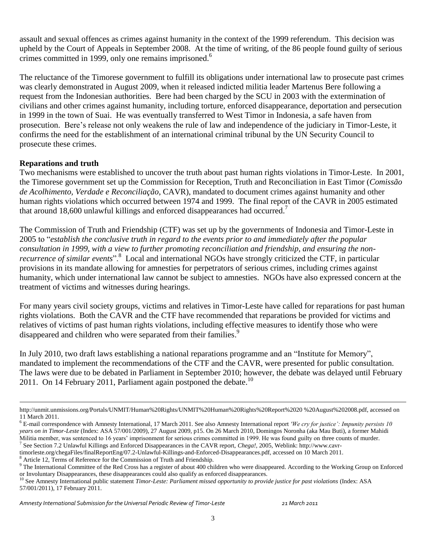assault and sexual offences as crimes against humanity in the context of the 1999 referendum. This decision was upheld by the Court of Appeals in September 2008. At the time of writing, of the 86 people found guilty of serious crimes committed in 1999, only one remains imprisoned.<sup>6</sup>

The reluctance of the Timorese government to fulfill its obligations under international law to prosecute past crimes was clearly demonstrated in August 2009, when it released indicted militia leader Martenus Bere following a request from the Indonesian authorities. Bere had been charged by the SCU in 2003 with the extermination of civilians and other crimes against humanity, including torture, enforced disappearance, deportation and persecution in 1999 in the town of Suai. He was eventually transferred to West Timor in Indonesia, a safe haven from prosecution. Bere's release not only weakens the rule of law and independence of the judiciary in Timor-Leste, it confirms the need for the establishment of an international criminal tribunal by the UN Security Council to prosecute these crimes.

#### **Reparations and truth**

 $\overline{a}$ 

Two mechanisms were established to uncover the truth about past human rights violations in Timor-Leste. In 2001, the Timorese government set up the Commission for Reception, Truth and Reconciliation in East Timor (*Comissão de Acolhimento, Verdade e Reconciliação*, CAVR), mandated to document crimes against humanity and other human rights violations which occurred between 1974 and 1999. The final report of the CAVR in 2005 estimated that around 18,600 unlawful killings and enforced disappearances had occurred.<sup>7</sup>

The Commission of Truth and Friendship (CTF) was set up by the governments of Indonesia and Timor-Leste in 2005 to "*establish the conclusive truth in regard to the events prior to and immediately after the popular consultation in 1999, with a view to further promoting reconciliation and friendship, and ensuring the non*recurrence of similar events".<sup>8</sup> Local and international NGOs have strongly criticized the CTF, in particular provisions in its mandate allowing for amnesties for perpetrators of serious crimes, including crimes against humanity, which under international law cannot be subject to amnesties. NGOs have also expressed concern at the treatment of victims and witnesses during hearings.

For many years civil society groups, victims and relatives in Timor-Leste have called for reparations for past human rights violations. Both the CAVR and the CTF have recommended that reparations be provided for victims and relatives of victims of past human rights violations, including effective measures to identify those who were disappeared and children who were separated from their families.<sup>9</sup>

In July 2010, two draft laws establishing a national reparations programme and an "Institute for Memory", mandated to implement the recommendations of the CTF and the CAVR, were presented for public consultation. The laws were due to be debated in Parliament in September 2010; however, the debate was delayed until February 2011. On 14 February 2011, Parliament again postponed the debate.<sup>10</sup>

7 See Section 7.2 Unlawful Killings and Enforced Disappearances in the CAVR report, *Chega!,* 2005, Weblink: http://www.cavr-

Article 12, Terms of Reference for the Commission of Truth and Friendship.

http://unmit.unmissions.org/Portals/UNMIT/Human%20Rights/UNMIT%20Human%20Rights%20Report%2020 %20August%202008.pdf, accessed on 11 March 2011.

<sup>6</sup> E-mail correspondence with Amnesty International, 17 March 2011. See also Amnesty International report *'We cry for justice': Impunity persists 10 years on in Timor-Leste* (Index: ASA 57/001/2009), 27 August 2009, p15. On 26 March 2010, Domingos Noronha (aka Mau Buti), a former Mahidi Militia member, was sentenced to 16 years' imprisonment for serious crimes committed in 1999. He was found guilty on three counts of murder.

timorleste.org/chegaFiles/finalReportEng/07.2-Unlawful-Killings-and-Enforced-Disappearances.pdf, accessed on 10 March 2011.

<sup>&</sup>lt;sup>9</sup> The International Committee of the Red Cross has a register of about 400 children who were disappeared. According to the Working Group on Enforced or Involuntary Disappearances, these disappearances could also qualify as enforced disappearances.

<sup>&</sup>lt;sup>10</sup> See Amnesty International public statement *Timor-Leste: Parliament missed opportunity to provide justice for past violations* (Index: ASA 57/001/2011), 17 February 2011.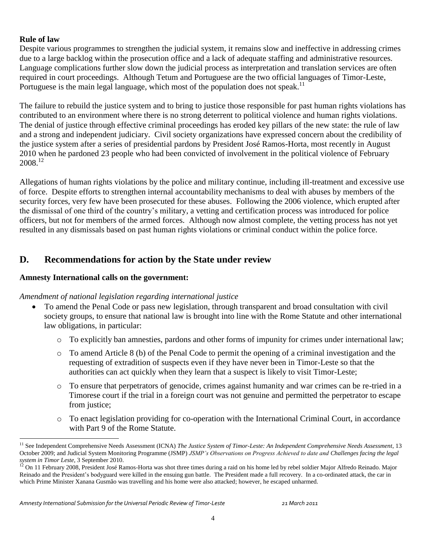#### **Rule of law**

 $\overline{a}$ 

Despite various programmes to strengthen the judicial system, it remains slow and ineffective in addressing crimes due to a large backlog within the prosecution office and a lack of adequate staffing and administrative resources. Language complications further slow down the judicial process as interpretation and translation services are often required in court proceedings. Although Tetum and Portuguese are the two official languages of Timor-Leste, Portuguese is the main legal language, which most of the population does not speak.<sup>11</sup>

The failure to rebuild the justice system and to bring to justice those responsible for past human rights violations has contributed to an environment where there is no strong deterrent to political violence and human rights violations. The denial of justice through effective criminal proceedings has eroded key pillars of the new state: the rule of law and a strong and independent judiciary. Civil society organizations have expressed concern about the credibility of the justice system after a series of presidential pardons by President José Ramos-Horta, most recently in August 2010 when he pardoned 23 people who had been convicted of involvement in the political violence of February 2008.<sup>12</sup>

Allegations of human rights violations by the police and military continue, including ill-treatment and excessive use of force. Despite efforts to strengthen internal accountability mechanisms to deal with abuses by members of the security forces, very few have been prosecuted for these abuses. Following the 2006 violence, which erupted after the dismissal of one third of the country's military, a vetting and certification process was introduced for police officers, but not for members of the armed forces. Although now almost complete, the vetting process has not yet resulted in any dismissals based on past human rights violations or criminal conduct within the police force.

### **D. Recommendations for action by the State under review**

#### **Amnesty International calls on the government:**

#### *Amendment of national legislation regarding international justice*

- To amend the Penal Code or pass new legislation, through transparent and broad consultation with civil society groups, to ensure that national law is brought into line with the Rome Statute and other international law obligations, in particular:
	- $\circ$  To explicitly ban amnesties, pardons and other forms of impunity for crimes under international law;
	- o To amend Article 8 (b) of the Penal Code to permit the opening of a criminal investigation and the requesting of extradition of suspects even if they have never been in Timor-Leste so that the authorities can act quickly when they learn that a suspect is likely to visit Timor-Leste;
	- o To ensure that perpetrators of genocide, crimes against humanity and war crimes can be re-tried in a Timorese court if the trial in a foreign court was not genuine and permitted the perpetrator to escape from justice;
	- o To enact legislation providing for co-operation with the International Criminal Court, in accordance with Part 9 of the Rome Statute.

<sup>&</sup>lt;sup>11</sup> See Independent Comprehensive Needs Assessment (ICNA) *The Justice System of Timor-Leste: An Independent Comprehensive Needs Assessment*, 13 October 2009; and Judicial System Monitoring Programme (JSMP) *JSMP's Observations on Progress Achieved to date and Challenges facing the legal system in Timor Leste*, 3 September 2010.

<sup>&</sup>lt;sup>12</sup> On 11 February 2008, President José Ramos-Horta was shot three times during a raid on his home led by rebel soldier Major Alfredo Reinado. Major Reinado and the President's bodyguard were killed in the ensuing gun battle. The President made a full recovery. In a co-ordinated attack, the car in which Prime Minister Xanana Gusmão was travelling and his home were also attacked; however, he escaped unharmed.